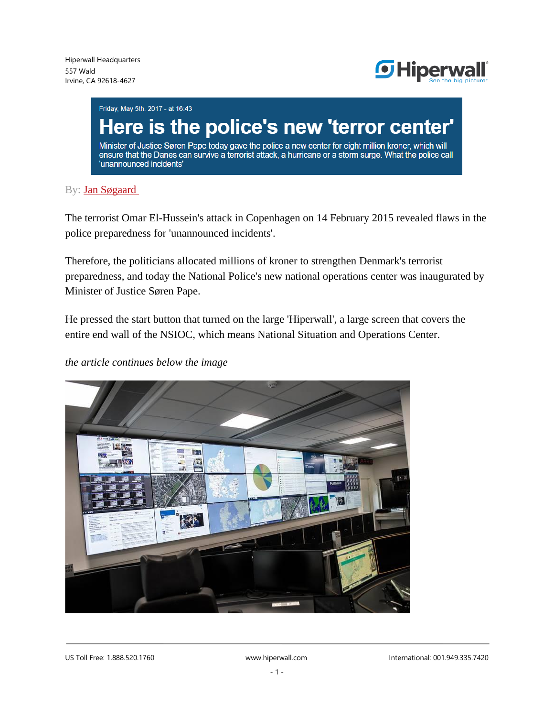

Friday, May 5th. 2017 - at 16:43

# Here is the police's new 'terror center'

Minister of Justice Søren Pape today gave the police a new center for eight million kroner, which will ensure that the Danes can survive a terrorist attack, a hurricane or a storm surge. What the police call 'unannounced incidents'

#### By: [Jan Søgaard](mailto:js@eb.dk?subject=Ang.%20Her%20er%20politiets%20nye%20%27terror-center%27%20(6644296))

The terrorist Omar El-Hussein's attack in Copenhagen on 14 February 2015 revealed flaws in the police preparedness for 'unannounced incidents'.

Therefore, the politicians allocated millions of kroner to strengthen Denmark's terrorist preparedness, and today the National Police's new national operations center was inaugurated by Minister of Justice Søren Pape.

He pressed the start button that turned on the large 'Hiperwall', a large screen that covers the entire end wall of the NSIOC, which means National Situation and Operations Center.

### *the article continues below the image*

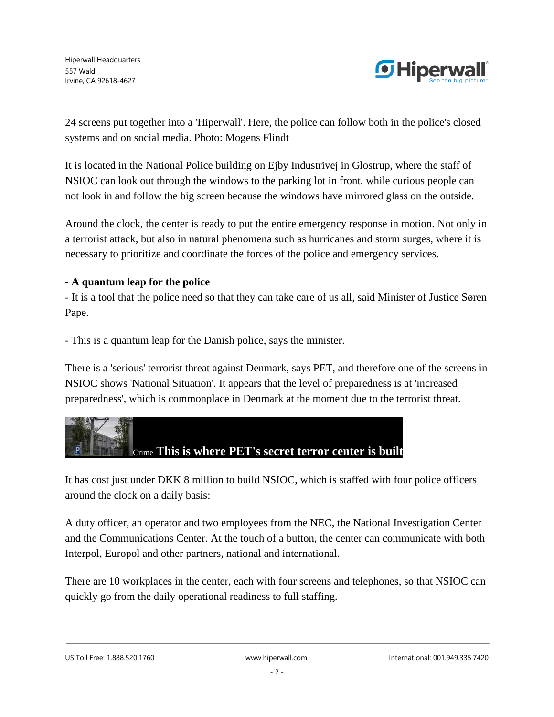

24 screens put together into a 'Hiperwall'. Here, the police can follow both in the police's closed systems and on social media. Photo: Mogens Flindt

It is located in the National Police building on Ejby Industrivej in Glostrup, where the staff of NSIOC can look out through the windows to the parking lot in front, while curious people can not look in and follow the big screen because the windows have mirrored glass on the outside.

Around the clock, the center is ready to put the entire emergency response in motion. Not only in a terrorist attack, but also in natural phenomena such as hurricanes and storm surges, where it is necessary to prioritize and coordinate the forces of the police and emergency services.

## **- A quantum leap for the police**

- It is a tool that the police need so that they can take care of us all, said Minister of Justice Søren Pape.

- This is a quantum leap for the Danish police, says the minister.

There is a 'serious' terrorist threat against Denmark, says PET, and therefore one of the screens in NSIOC shows 'National Situation'. It appears that the level of preparedness is at 'increased preparedness', which is commonplace in Denmark at the moment due to the terrorist threat.



It has cost just under DKK 8 million to build NSIOC, which is staffed with four police officers around the clock on a daily basis:

A duty officer, an operator and two employees from the NEC, the National Investigation Center and the Communications Center. At the touch of a button, the center can communicate with both Interpol, Europol and other partners, national and international.

There are 10 workplaces in the center, each with four screens and telephones, so that NSIOC can quickly go from the daily operational readiness to full staffing.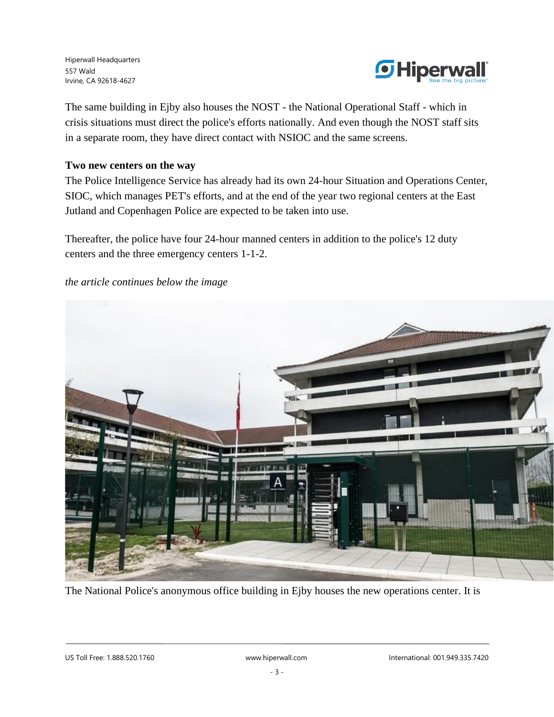

The same building in Ejby also houses the NOST - the National Operational Staff - which in crisis situations must direct the police's efforts nationally. And even though the NOST staff sits in a separate room, they have direct contact with NSIOC and the same screens.

## **Two new centers on the way**

The Police Intelligence Service has already had its own 24-hour Situation and Operations Center, SIOC, which manages PET's efforts, and at the end of the year two regional centers at the East Jutland and Copenhagen Police are expected to be taken into use.

Thereafter, the police have four 24-hour manned centers in addition to the police's 12 duty centers and the three emergency centers 1-1-2.

#### *the article continues below the image*



The National Police's anonymous office building in Ejby houses the new operations center. It is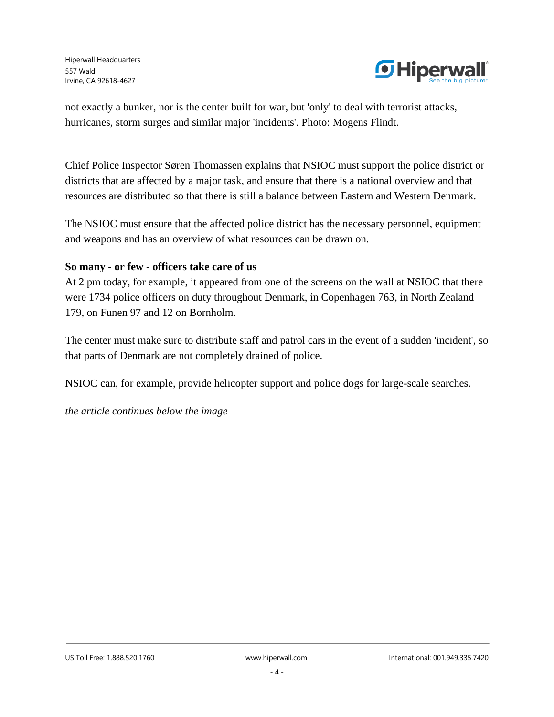

not exactly a bunker, nor is the center built for war, but 'only' to deal with terrorist attacks, hurricanes, storm surges and similar major 'incidents'. Photo: Mogens Flindt.

Chief Police Inspector Søren Thomassen explains that NSIOC must support the police district or districts that are affected by a major task, and ensure that there is a national overview and that resources are distributed so that there is still a balance between Eastern and Western Denmark.

The NSIOC must ensure that the affected police district has the necessary personnel, equipment and weapons and has an overview of what resources can be drawn on.

## **So many - or few - officers take care of us**

At 2 pm today, for example, it appeared from one of the screens on the wall at NSIOC that there were 1734 police officers on duty throughout Denmark, in Copenhagen 763, in North Zealand 179, on Funen 97 and 12 on Bornholm.

The center must make sure to distribute staff and patrol cars in the event of a sudden 'incident', so that parts of Denmark are not completely drained of police.

NSIOC can, for example, provide helicopter support and police dogs for large-scale searches.

*the article continues below the image*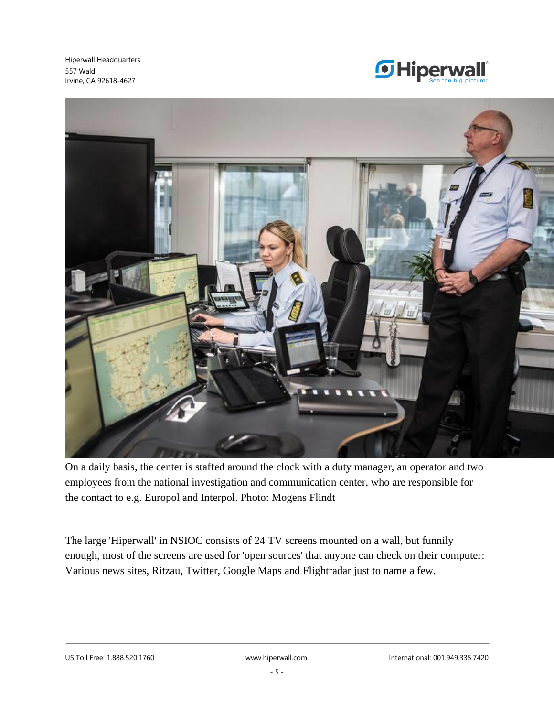



On a daily basis, the center is staffed around the clock with a duty manager, an operator and two employees from the national investigation and communication center, who are responsible for the contact to e.g. Europol and Interpol. Photo: Mogens Flindt

The large 'Hiperwall' in NSIOC consists of 24 TV screens mounted on a wall, but funnily enough, most of the screens are used for 'open sources' that anyone can check on their computer: Various news sites, Ritzau, Twitter, Google Maps and Flightradar just to name a few.